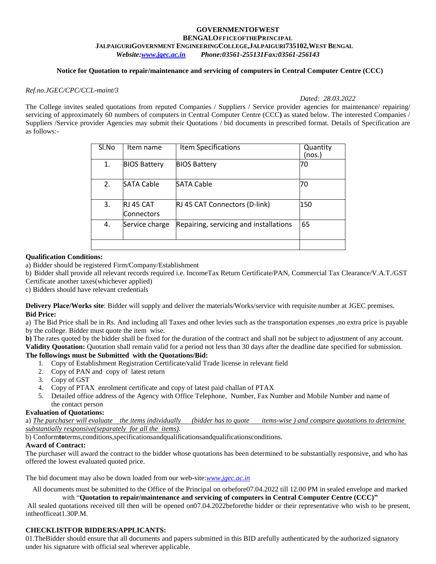#### **GOVERNMENTOFWEST BENGALOFFICEOFTHEPRINCIPAL JALPAIGURIGOVERNMENT ENGINEERINGCOLLEGE,JALPAIGURI735102,WEST BENGAL** *Website[:www.jgec.ac.in](http://www.jgec.ac.in/) Phone:03561-255131Fax:03561-256143*

### **Notice for Quotation to repair/maintenance and servicing of computers in Central Computer Centre (CCC)**

#### *Ref.no.JGEC/CPC/CCL-maint/3*

*Dated: 28.03.2022*

The College invites sealed quotations from reputed Companies / Suppliers / Service provider agencies for maintenance/ repairing/ servicing of approximately 60 numbers of computers in Central Computer Centre (CCC**)** as stated below. The interested Companies / Suppliers /Service provider Agencies may submit their Quotations / bid documents in prescribed format. Details of Specification are as follows:-

| Sl.No | Item name                      | Item Specifications                    | Quantity<br>(nos.) |
|-------|--------------------------------|----------------------------------------|--------------------|
| 1.    | <b>BIOS Battery</b>            | <b>BIOS Battery</b>                    | 70                 |
| 2.    | <b>SATA Cable</b>              | <b>SATA Cable</b>                      | 70                 |
| 3.    | RJ 45 CAT<br><b>Connectors</b> | RJ 45 CAT Connectors (D-link)          | 150                |
| 4.    | Service charge                 | Repairing, servicing and installations | 65                 |
|       |                                |                                        |                    |

#### **Qualification Conditions:**

a) Bidder should be registered Firm/Company/Establishment

b) Bidder shall provide all relevant records required i.e. IncomeTax Return Certificate/PAN, Commercial Tax Clearance/V.A.T./GST Certificate another taxes(whichever applied)

c) Bidders should have relevant credentials

**Delivery Place/Works site**: Bidder will supply and deliver the materials/Works/service with requisite number at JGEC premises. **Bid Price:**

a) The Bid Price shall be in Rs. And including all Taxes and other levies such as the transportation expenses ,no extra price is payable by the college. Bidder must quote the item wise.

**b)** The rates quoted by the bidder shall be fixed for the duration of the contract and shall not be subject to adjustment of any account. **Validity Quotation:** Quotation shall remain valid for a period not less than 30 days after the deadline date specified for submission.

#### **The followings must be Submitted with the Quotations/Bid:**

- 1. Copy of Establishment Registration Certificate/valid Trade license in relevant field
- 2. Copy of PAN and copy of latest return
- 3. Copy of GST
- 4. Copy of PTAX enrolment certificate and copy of latest paid challan of PTAX
- 5. Detailed office address of the Agency with Office Telephone, Number, Fax Number and Mobile Number and name of the contact person

#### **Evaluation of Quotations:**

a) *The purchaser will evaluate the items individually (bidder has to quote items-wise ) and compare quotations to determine substantially responsive(separately for all the items)*.

b) Conform**to**terms,conditions,specificationsandqualificationsandqualificationsconditions.

#### **Award of Contract:**

The purchaser will award the contract to the bidder whose quotations has been determined to be substantially responsive, and who has offered the lowest evaluated quoted price.

The bid document may also be down loaded from our web-site:*[www.jgec.ac.in](http://www.jgec.ac.in/)*

All documents must be submitted to the Office of the Principal on orbefore07.04.2022 till 12.00 PM in sealed envelope and marked

with "**Quotation to repair/maintenance and servicing of computers in Central Computer Centre (CCC)"** All sealed quotations received till then will be opened on07.04.2022beforethe bidder or their representative who wish to be present, intheofficeat1.30P.M.

#### **CHECKLISTFOR BIDDERS/APPLICANTS:**

01.TheBidder should ensure that all documents and papers submitted in this BID arefully authenticated by the authorized signatory under his signature with official seal wherever applicable.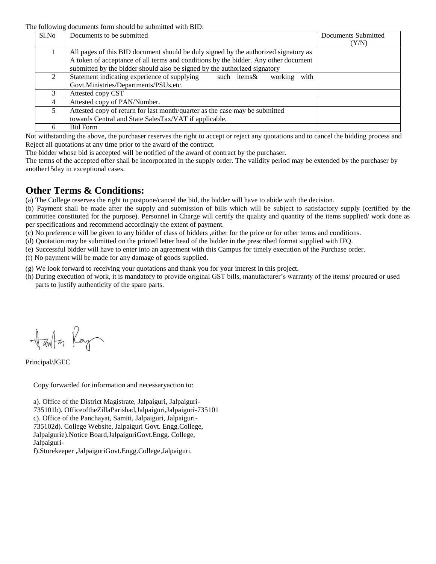The following documents form should be submitted with BID:

| Sl.No | Documents to be submitted                                                           | Documents Submitted |
|-------|-------------------------------------------------------------------------------------|---------------------|
|       |                                                                                     | (Y/N)               |
|       | All pages of this BID document should be duly signed by the authorized signatory as |                     |
|       | A token of acceptance of all terms and conditions by the bidder. Any other document |                     |
|       | submitted by the bidder should also be signed by the authorized signatory           |                     |
|       | Statement indicating experience of supplying<br>with<br>such items&<br>working      |                     |
|       | Govt.Ministries/Departments/PSUs, etc.                                              |                     |
|       | Attested copy CST                                                                   |                     |
| 4     | Attested copy of PAN/Number.                                                        |                     |
| 5     | Attested copy of return for last month/quarter as the case may be submitted         |                     |
|       | towards Central and State SalesTax/VAT if applicable.                               |                     |
|       | <b>Bid Form</b>                                                                     |                     |

Not withstanding the above, the purchaser reserves the right to accept or reject any quotations and to cancel the bidding process and Reject all quotations at any time prior to the award of the contract.

The bidder whose bid is accepted will be notified of the award of contract by the purchaser.

The terms of the accepted offer shall be incorporated in the supply order. The validity period may be extended by the purchaser by another15day in exceptional cases.

# **Other Terms & Conditions:**

(a) The College reserves the right to postpone/cancel the bid, the bidder will have to abide with the decision.

(b) Payment shall be made after the supply and submission of bills which will be subject to satisfactory supply (certified by the committee constituted for the purpose). Personnel in Charge will certify the quality and quantity of the items supplied/ work done as per specifications and recommend accordingly the extent of payment.

(c) No preference will be given to any bidder of class of bidders ,either for the price or for other terms and conditions.

(d) Quotation may be submitted on the printed letter head of the bidder in the prescribed format supplied with IFQ.

(e) Successful bidder will have to enter into an agreement with this Campus for timely execution of the Purchase order.

(f) No payment will be made for any damage of goods supplied.

(g) We look forward to receiving your quotations and thank you for your interest in this project.

(h) During execution of work, it is mandatory to provide original GST bills, manufacturer's warranty of the items/ procured or used parts to justify authenticity of the spare parts.

Harlton Ray

Principal/JGEC

Copy forwarded for information and necessaryaction to:

a). Office of the District Magistrate, Jalpaiguri, Jalpaiguri-735101b). OfficeoftheZillaParishad,Jalpaiguri,Jalpaiguri-735101 c). Office of the Panchayat, Samiti, Jalpaiguri, Jalpaiguri-735102d). College Website, Jalpaiguri Govt. Engg.College, Jalpaigurie).Notice Board,JalpaiguriGovt.Engg. College, Jalpaiguri-

f).Storekeeper ,JalpaiguriGovt.Engg.College,Jalpaiguri.